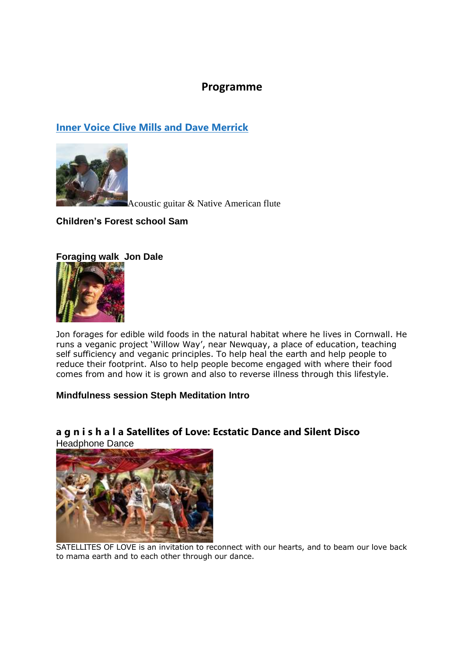## **Programme**

## **[Inner Voice Clive Mills and Dave Merrick](https://www.youtube.com/watch?v=Vwn9i6QPwyk)**



Acoustic guitar & Native American flute

### **Children's Forest school Sam**

### **Foraging walk Jon Dale**



Jon forages for edible wild foods in the natural habitat where he lives in Cornwall. He runs a veganic project 'Willow Way', near Newquay, a place of education, teaching self sufficiency and veganic principles. To help heal the earth and help people to reduce their footprint. Also to help people become engaged with where their food comes from and how it is grown and also to reverse illness through this lifestyle.

#### **Mindfulness session Steph Meditation Intro**

## **a g n i s h a l a Satellites of Love: Ecstatic Dance and Silent Disco**

Headphone Dance



SATELLITES OF LOVE is an invitation to reconnect with our hearts, and to beam our love back to mama earth and to each other through our dance.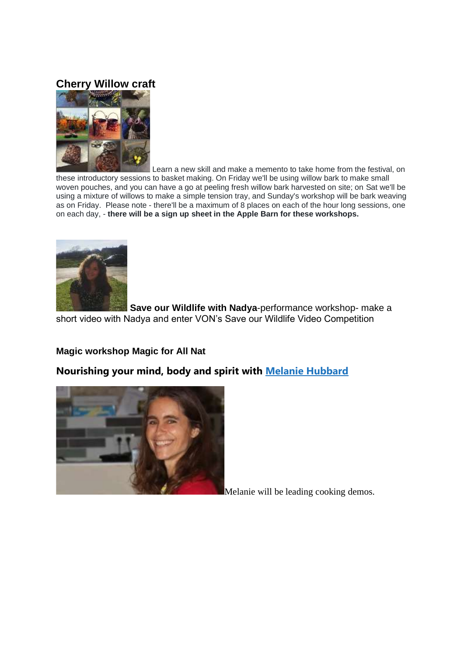## **Cherry Willow craft**



Learn a new skill and make a memento to take home from the festival, on these introductory sessions to basket making. On Friday we'll be using willow bark to make small woven pouches, and you can have a go at peeling fresh willow bark harvested on site; on Sat we'll be using a mixture of willows to make a simple tension tray, and Sunday's workshop will be bark weaving as on Friday. Please note - there'll be a maximum of 8 places on each of the hour long sessions, one on each day, - **there will be a sign up sheet in the Apple Barn for these workshops.**



**Save our Wildlife with Nadya-performance workshop- make a** short video with Nadya and enter VON's Save our Wildlife Video Competition

### **Magic workshop Magic for All Nat**

**Nourishing your mind, body and spirit with [Melanie Hubbard](https://www.nourishinglife.org.uk/)**



Melanie will be leading cooking demos.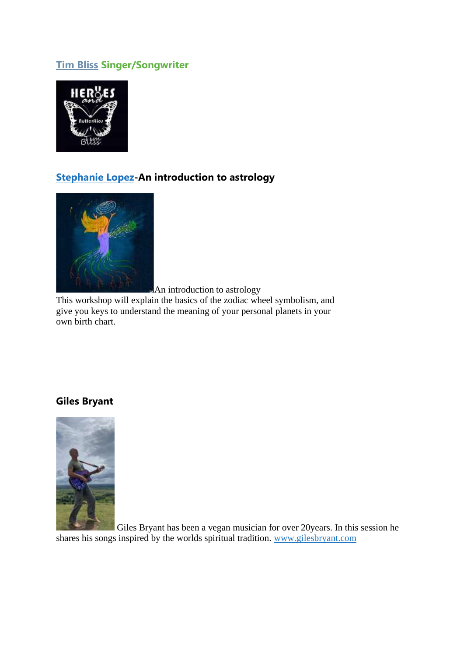## **[Tim Bliss](https://timbliss.hearnow.com/) Singer/Songwriter**



# **[Stephanie Lopez-](https://www.stephanielopez.info/astrology)An introduction to astrology**



An introduction to astrology

This workshop will explain the basics of the zodiac wheel symbolism, and give you keys to understand the meaning of your personal planets in your own birth chart.

### **Giles Bryant**



Giles Bryant has been a vegan musician for over 20years. In this session he shares his songs inspired by the worlds spiritual tradition. [www.gilesbryant.com](http://www.gilesbryant.com/)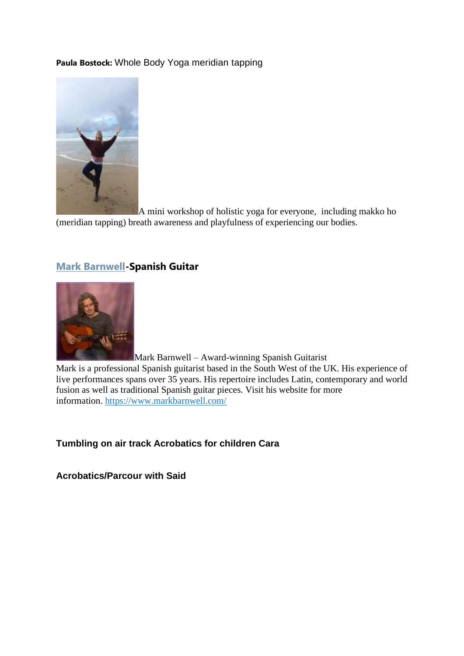#### **Paula Bostock:** Whole Body Yoga meridian tapping



A mini workshop of holistic yoga for everyone, including makko ho (meridian tapping) breath awareness and playfulness of experiencing our bodies.

### **[Mark Barnwell-](https://www.youtube.com/watch?v=fTjrEDk5a9U&t=10s)Spanish Guitar**



Mark Barnwell – Award-winning Spanish Guitarist

Mark is a professional Spanish guitarist based in the South West of the UK. His experience of live performances spans over 35 years. His repertoire includes Latin, contemporary and world fusion as well as traditional Spanish guitar pieces. Visit his website for more information. <https://www.markbarnwell.com/>

#### **Tumbling on air track Acrobatics for children Cara**

**Acrobatics/Parcour with Said**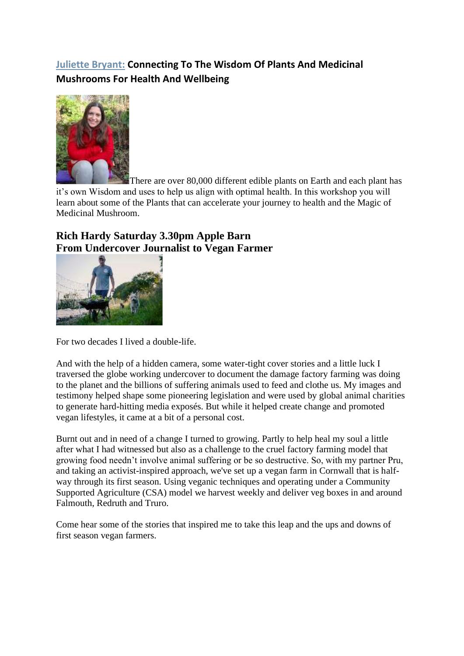# **[Juliette Bryant:](https://www.juliettebryant.com/) Connecting To The Wisdom Of Plants And Medicinal Mushrooms For Health And Wellbeing**



There are over 80,000 different edible plants on Earth and each plant has it's own Wisdom and uses to help us align with optimal health. In this workshop you will learn about some of the Plants that can accelerate your journey to health and the Magic of Medicinal Mushroom.

# **Rich Hardy Saturday 3.30pm Apple Barn From Undercover Journalist to Vegan Farmer**



For two decades I lived a double-life.

And with the help of a hidden camera, some water-tight cover stories and a little luck I traversed the globe working undercover to document the damage factory farming was doing to the planet and the billions of suffering animals used to feed and clothe us. My images and testimony helped shape some pioneering legislation and were used by global animal charities to generate hard-hitting media exposés. But while it helped create change and promoted vegan lifestyles, it came at a bit of a personal cost.

Burnt out and in need of a change I turned to growing. Partly to help heal my soul a little after what I had witnessed but also as a challenge to the cruel factory farming model that growing food needn't involve animal suffering or be so destructive. So, with my partner Pru, and taking an activist-inspired approach, we've set up a vegan farm in Cornwall that is halfway through its first season. Using veganic techniques and operating under a Community Supported Agriculture (CSA) model we harvest weekly and deliver veg boxes in and around Falmouth, Redruth and Truro.

Come hear some of the stories that inspired me to take this leap and the ups and downs of first season vegan farmers.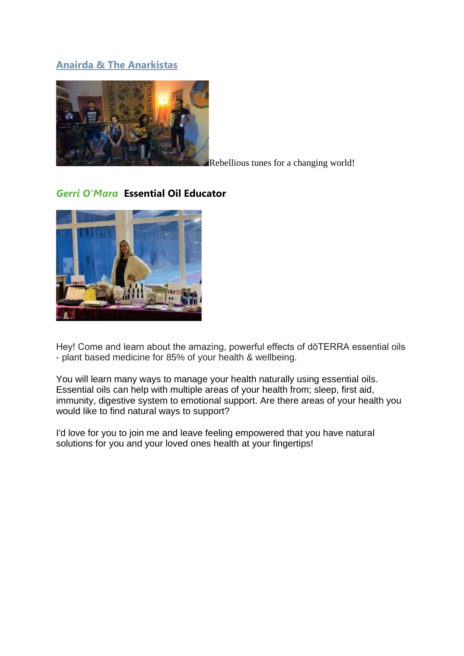## **[Anairda & The Anarkistas](https://www.facebook.com/AnairdaandTheAnarkistas)**



Rebellious tunes for a changing world!

## *Gerri O'Mara* **Essential Oil Educator**



Hey! Come and learn about the amazing, powerful effects of dōTERRA essential oils - plant based medicine for 85% of your health & wellbeing.

You will learn many ways to manage your health naturally using essential oils. Essential oils can help with multiple areas of your health from; sleep, first aid, immunity, digestive system to emotional support. Are there areas of your health you would like to find natural ways to support?

I'd love for you to join me and leave feeling empowered that you have natural solutions for you and your loved ones health at your fingertips!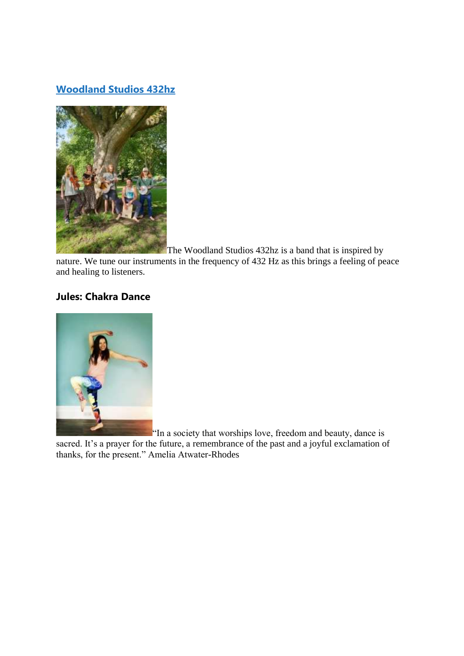## **[Woodland Studios 432hz](https://www.youtube.com/channel/UCmr-j_9tDIzCiZ4OWxLbPCg)**



The Woodland Studios 432hz is a band that is inspired by

nature. We tune our instruments in the frequency of 432 Hz as this brings a feeling of peace and healing to listeners.

## **Jules: Chakra Dance**



"In a society that worships love, freedom and beauty, dance is

sacred. It's a prayer for the future, a remembrance of the past and a joyful exclamation of thanks, for the present." Amelia Atwater-Rhodes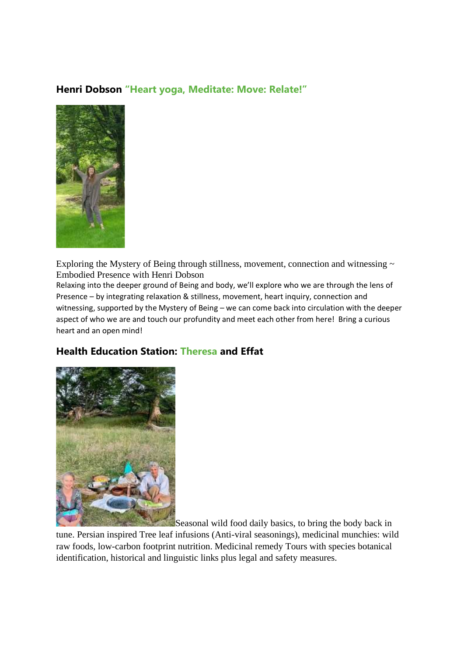## **Henri Dobson "Heart yoga, Meditate: Move: Relate!"**



Exploring the Mystery of Being through stillness, movement, connection and witnessing  $\sim$ Embodied Presence with Henri Dobson

Relaxing into the deeper ground of Being and body, we'll explore who we are through the lens of Presence – by integrating relaxation & stillness, movement, heart inquiry, connection and witnessing, supported by the Mystery of Being – we can come back into circulation with the deeper aspect of who we are and touch our profundity and meet each other from here! Bring a curious heart and an open mind!

## **Health Education Station: Theresa and Effat**



Seasonal wild food daily basics, to bring the body back in

tune. Persian inspired Tree leaf infusions (Anti-viral seasonings), medicinal munchies: wild raw foods, low-carbon footprint nutrition. Medicinal remedy Tours with species botanical identification, historical and linguistic links plus legal and safety measures.